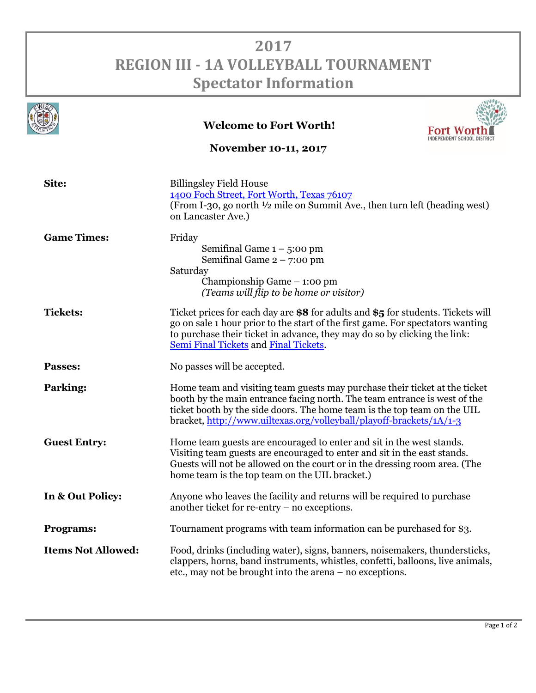## **2017 REGION III - 1A VOLLEYBALL TOURNAMENT Spectator Information**